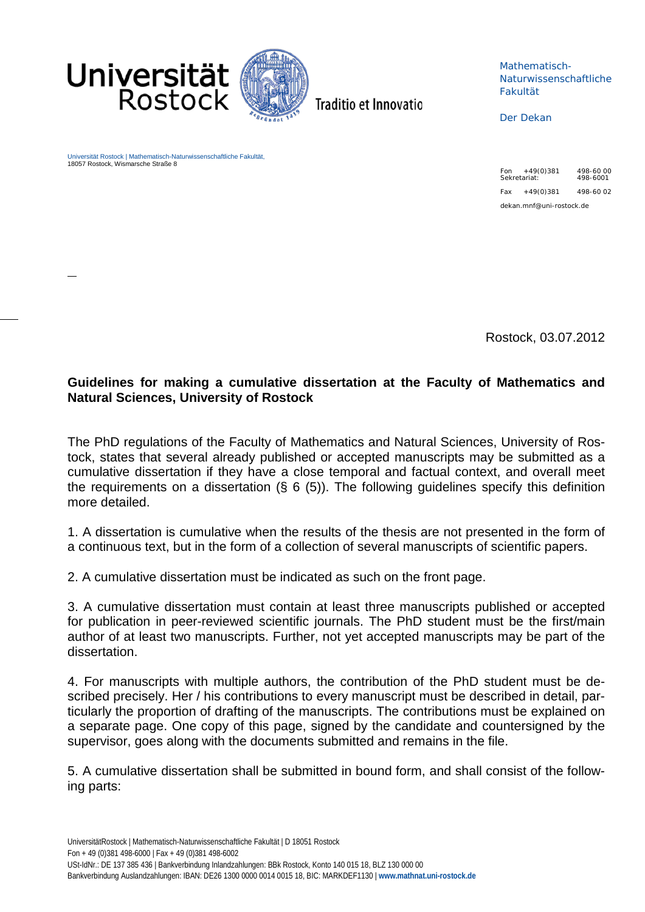

Traditio et Innovatio

Mathematisch-Naturwissenschaftliche Fakultät

Der Dekan

Universität Rostock | Mathematisch-Naturwissenschaftliche Fakultät, 18057 Rostock, Wismarsche Straße 8

Fon +49(0)381 498-60 00 Sekretariat: 498-6001  $Fax +49(0)381$  498-60.02 dekan.mnf@uni-rostock.de

Rostock, 03.07.2012

## **Guidelines for making a cumulative dissertation at the Faculty of Mathematics and Natural Sciences, University of Rostock**

The PhD regulations of the Faculty of Mathematics and Natural Sciences, University of Rostock, states that several already published or accepted manuscripts may be submitted as a cumulative dissertation if they have a close temporal and factual context, and overall meet the requirements on a dissertation  $(S_6 6 (5))$ . The following quidelines specify this definition more detailed.

1. A dissertation is cumulative when the results of the thesis are not presented in the form of a continuous text, but in the form of a collection of several manuscripts of scientific papers.

2. A cumulative dissertation must be indicated as such on the front page.

3. A cumulative dissertation must contain at least three manuscripts published or accepted for publication in peer-reviewed scientific journals. The PhD student must be the first/main author of at least two manuscripts. Further, not yet accepted manuscripts may be part of the dissertation.

4. For manuscripts with multiple authors, the contribution of the PhD student must be described precisely. Her / his contributions to every manuscript must be described in detail, particularly the proportion of drafting of the manuscripts. The contributions must be explained on a separate page. One copy of this page, signed by the candidate and countersigned by the supervisor, goes along with the documents submitted and remains in the file.

5. A cumulative dissertation shall be submitted in bound form, and shall consist of the following parts: